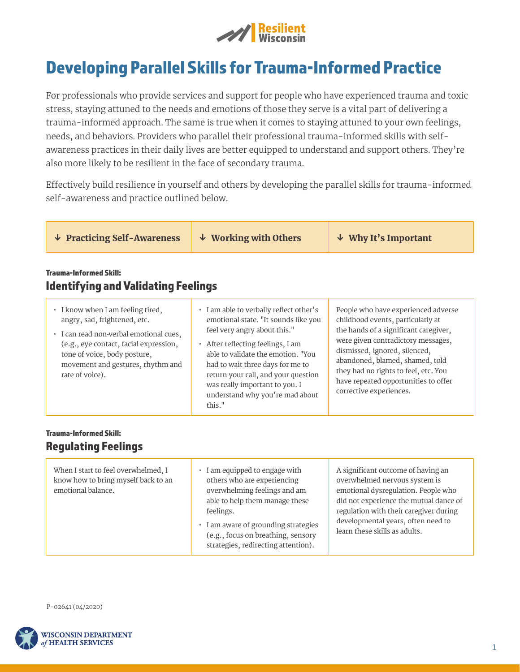

# Developing Parallel Skills for Trauma-Informed Practice

For professionals who provide services and support for people who have experienced trauma and toxic stress, staying attuned to the needs and emotions of those they serve is a vital part of delivering a trauma-informed approach. The same is true when it comes to staying attuned to your own feelings, needs, and behaviors. Providers who parallel their professional trauma-informed skills with selfawareness practices in their daily lives are better equipped to understand and support others. They're also more likely to be resilient in the face of secondary trauma.

Effectively build resilience in yourself and others by developing the parallel skills for trauma-informed self-awareness and practice outlined below.

| $\downarrow$ Practicing Self-Awareness                                                                                                                                                                                                         | $\downarrow$ Working with Others                                                                                                                                                                                                                                                                                                                           | $\downarrow$ Why It's Important                                                                                                                                                                                                                                                                                                        |  |  |  |
|------------------------------------------------------------------------------------------------------------------------------------------------------------------------------------------------------------------------------------------------|------------------------------------------------------------------------------------------------------------------------------------------------------------------------------------------------------------------------------------------------------------------------------------------------------------------------------------------------------------|----------------------------------------------------------------------------------------------------------------------------------------------------------------------------------------------------------------------------------------------------------------------------------------------------------------------------------------|--|--|--|
| <b>Trauma-Informed Skill:</b><br><b>Identifying and Validating Feelings</b>                                                                                                                                                                    |                                                                                                                                                                                                                                                                                                                                                            |                                                                                                                                                                                                                                                                                                                                        |  |  |  |
| • I know when I am feeling tired,<br>angry, sad, frightened, etc.<br>· I can read non-verbal emotional cues,<br>(e.g., eye contact, facial expression,<br>tone of voice, body posture,<br>movement and gestures, rhythm and<br>rate of voice). | • I am able to verbally reflect other's<br>emotional state. "It sounds like you<br>feel very angry about this."<br>$\cdot$ After reflecting feelings, I am<br>able to validate the emotion. "You<br>had to wait three days for me to<br>return your call, and your question<br>was really important to you. I<br>understand why you're mad about<br>this." | People who have experienced adverse<br>childhood events, particularly at<br>the hands of a significant caregiver,<br>were given contradictory messages,<br>dismissed, ignored, silenced,<br>abandoned, blamed, shamed, told<br>they had no rights to feel, etc. You<br>have repeated opportunities to offer<br>corrective experiences. |  |  |  |

# Trauma-Informed Skill: Regulating Feelings

| When I start to feel overwhelmed, I<br>know how to bring myself back to an<br>emotional balance. | I am equipped to engage with<br>others who are experiencing<br>overwhelming feelings and am<br>able to help them manage these<br>feelings.<br>I am aware of grounding strategies<br>(e.g., focus on breathing, sensory<br>strategies, redirecting attention). | A significant outcome of having an<br>overwhelmed nervous system is<br>emotional dysregulation. People who<br>did not experience the mutual dance of<br>regulation with their caregiver during<br>developmental years, often need to<br>learn these skills as adults. |
|--------------------------------------------------------------------------------------------------|---------------------------------------------------------------------------------------------------------------------------------------------------------------------------------------------------------------------------------------------------------------|-----------------------------------------------------------------------------------------------------------------------------------------------------------------------------------------------------------------------------------------------------------------------|
|--------------------------------------------------------------------------------------------------|---------------------------------------------------------------------------------------------------------------------------------------------------------------------------------------------------------------------------------------------------------------|-----------------------------------------------------------------------------------------------------------------------------------------------------------------------------------------------------------------------------------------------------------------------|

P-02641 (04/2020)

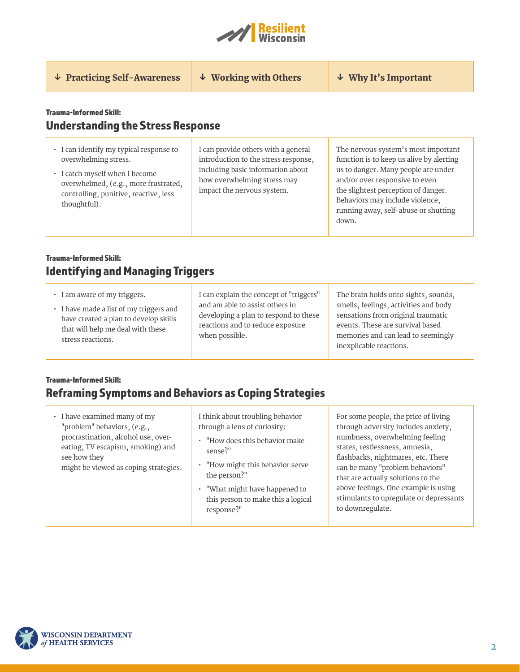

↓ Practicing Self-Awareness  $\downarrow \Psi$  Working with Others  $\downarrow \Psi$  Why It's Important

# Trauma-Informed Skill: Understanding the Stress Response

- I can identify my typical response to overwhelming stress.
- I catch myself when I become overwhelmed, (e.g., more frustrated, controlling, punitive, reactive, less thoughtful).

I can provide others with a general introduction to the stress response, including basic information about how overwhelming stress may impact the nervous system.

The nervous system's most important function is to keep us alive by alerting us to danger. Many people are under and/or over responsive to even the slightest perception of danger. Behaviors may include violence, running away, self- abuse or shutting down.

# Trauma-Informed Skill: Identifying and Managing Triggers

| • I am aware of my triggers.<br>• I have made a list of my triggers and<br>have created a plan to develop skills<br>that will help me deal with these<br>stress reactions. | I can explain the concept of "triggers"<br>and am able to assist others in<br>developing a plan to respond to these<br>reactions and to reduce exposure<br>when possible. | The brain holds onto sights, sounds,<br>smells, feelings, activities and body<br>sensations from original traumatic<br>events. These are survival based<br>memories and can lead to seemingly<br>inexplicable reactions. |
|----------------------------------------------------------------------------------------------------------------------------------------------------------------------------|---------------------------------------------------------------------------------------------------------------------------------------------------------------------------|--------------------------------------------------------------------------------------------------------------------------------------------------------------------------------------------------------------------------|
|----------------------------------------------------------------------------------------------------------------------------------------------------------------------------|---------------------------------------------------------------------------------------------------------------------------------------------------------------------------|--------------------------------------------------------------------------------------------------------------------------------------------------------------------------------------------------------------------------|

#### Trauma-Informed Skill:

# Reframing Symptoms and Behaviors as Coping Strategies

• I have examined many of my "problem" behaviors, (e.g., procrastination, alcohol use, overeating, TV escapism, smoking) and see how they might be viewed as coping strategies.

I think about troubling behavior through a lens of curiosity:

- "How does this behavior make sense?"
- "How might this behavior serve the person?"
- "What might have happened to this person to make this a logical response?"

For some people, the price of living through adversity includes anxiety, numbness, overwhelming feeling states, restlessness, amnesia, flashbacks, nightmares, etc. There can be many "problem behaviors" that are actually solutions to the above feelings. One example is using stimulants to upregulate or depressants to downregulate.

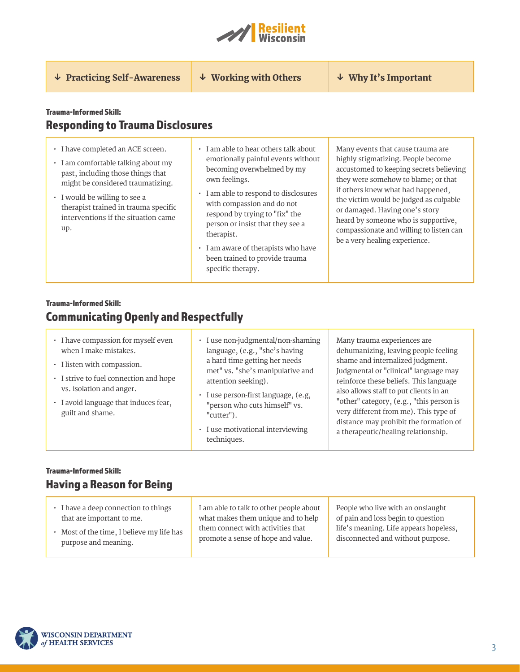

↓ Practicing Self-Awareness  $\downarrow \Psi$  Working with Others  $\downarrow \Psi$  Why It's Important

#### Trauma-Informed Skill: Responding to Trauma Disclosures

- I have completed an ACE screen.
- I am comfortable talking about my past, including those things that might be considered traumatizing.
- I would be willing to see a therapist trained in trauma specific interventions if the situation came up.
- I am able to hear others talk about emotionally painful events without becoming overwhelmed by my own feelings.
- I am able to respond to disclosures with compassion and do not respond by trying to "fix" the person or insist that they see a therapist.
- I am aware of therapists who have been trained to provide trauma specific therapy.

Many events that cause trauma are highly stigmatizing. People become accustomed to keeping secrets believing they were somehow to blame; or that if others knew what had happened, the victim would be judged as culpable or damaged. Having one's story heard by someone who is supportive, compassionate and willing to listen can be a very healing experience.

# Trauma-Informed Skill: Communicating Openly and Respectfully

- I have compassion for myself even when I make mistakes.
- I listen with compassion.
- I strive to fuel connection and hope vs. isolation and anger.
- I avoid language that induces fear, guilt and shame.
- I use non-judgmental/non-shaming language, (e.g., "she's having a hard time getting her needs met" vs. "she's manipulative and attention seeking).
- I use person-first language, (e.g, "person who cuts himself" vs. "cutter").
- I use motivational interviewing techniques.

Many trauma experiences are dehumanizing, leaving people feeling shame and internalized judgment. Judgmental or "clinical" language may reinforce these beliefs. This language also allows staff to put clients in an "other" category, (e.g., "this person is very different from me). This type of distance may prohibit the formation of a therapeutic/healing relationship.

# Trauma-Informed Skill: Having a Reason for Being

| • I have a deep connection to things      | I am able to talk to other people about | People who live with an onslaught      |
|-------------------------------------------|-----------------------------------------|----------------------------------------|
| that are important to me.                 | what makes them unique and to help      | of pain and loss begin to question     |
| • Most of the time, I believe my life has | them connect with activities that       | life's meaning. Life appears hopeless, |
| purpose and meaning.                      | promote a sense of hope and value.      | disconnected and without purpose.      |